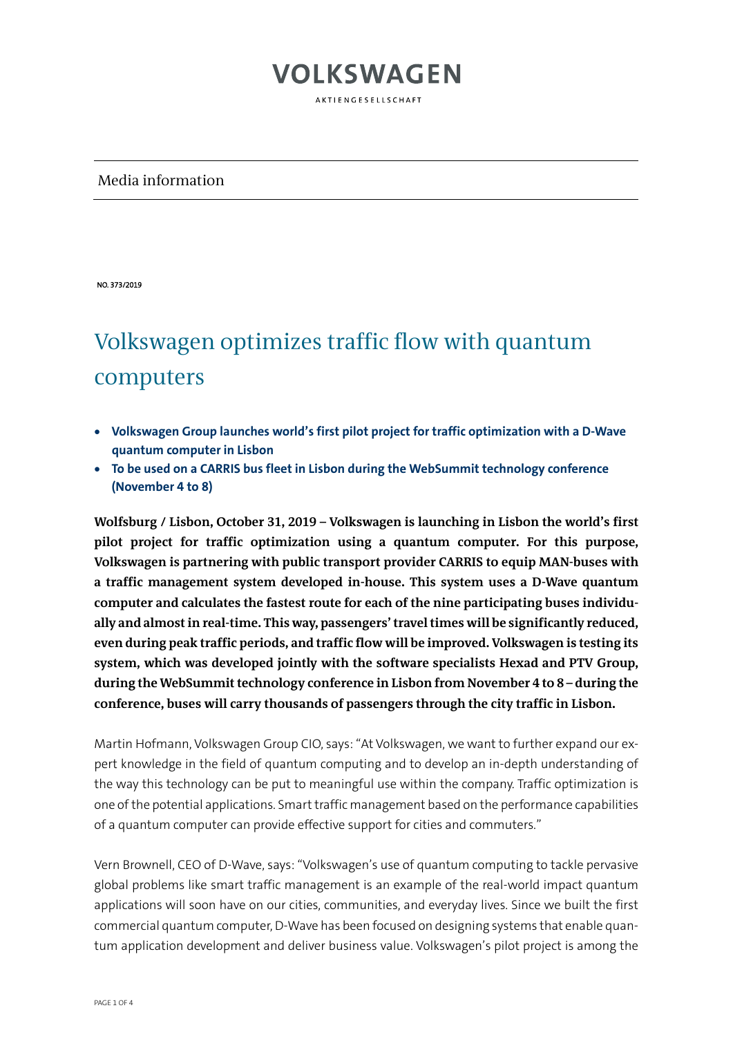AKTIENGESELLSCHAFT

### Media information

NO. 373/2019

## Volkswagen optimizes traffic flow with quantum computers

- **Volkswagen Group launches world's first pilot project for traffic optimization with a D-Wave quantum computer in Lisbon**
- **To be used on a CARRIS bus fleet in Lisbon during the WebSummit technology conference (November 4 to 8)**

**Wolfsburg / Lisbon, October 31, 2019 – Volkswagen is launching in Lisbon the world's first pilot project for traffic optimization using a quantum computer. For this purpose, Volkswagen is partnering with public transport provider CARRIS to equip MAN-buses with a traffic management system developed in-house. This system uses a D-Wave quantum computer and calculates the fastest route for each of the nine participating buses individually and almost in real-time. This way, passengers'travel times will be significantly reduced, even during peak traffic periods, and traffic flow will be improved. Volkswagen is testing its system, which was developed jointly with the software specialists Hexad and PTV Group, during the WebSummit technology conference in Lisbon from November 4 to 8 – during the conference, buses will carry thousands of passengers through the city traffic in Lisbon.**

Martin Hofmann, Volkswagen Group CIO, says: "At Volkswagen, we want to further expand our expert knowledge in the field of quantum computing and to develop an in-depth understanding of the way this technology can be put to meaningful use within the company. Traffic optimization is one of the potential applications. Smart traffic management based on the performance capabilities of a quantum computer can provide effective support for cities and commuters."

Vern Brownell, CEO of D-Wave, says: "Volkswagen's use of quantum computing to tackle pervasive global problems like smart traffic management is an example of the real-world impact quantum applications will soon have on our cities, communities, and everyday lives. Since we built the first commercial quantum computer, D-Wave has been focused on designing systems that enable quantum application development and deliver business value. Volkswagen's pilot project is among the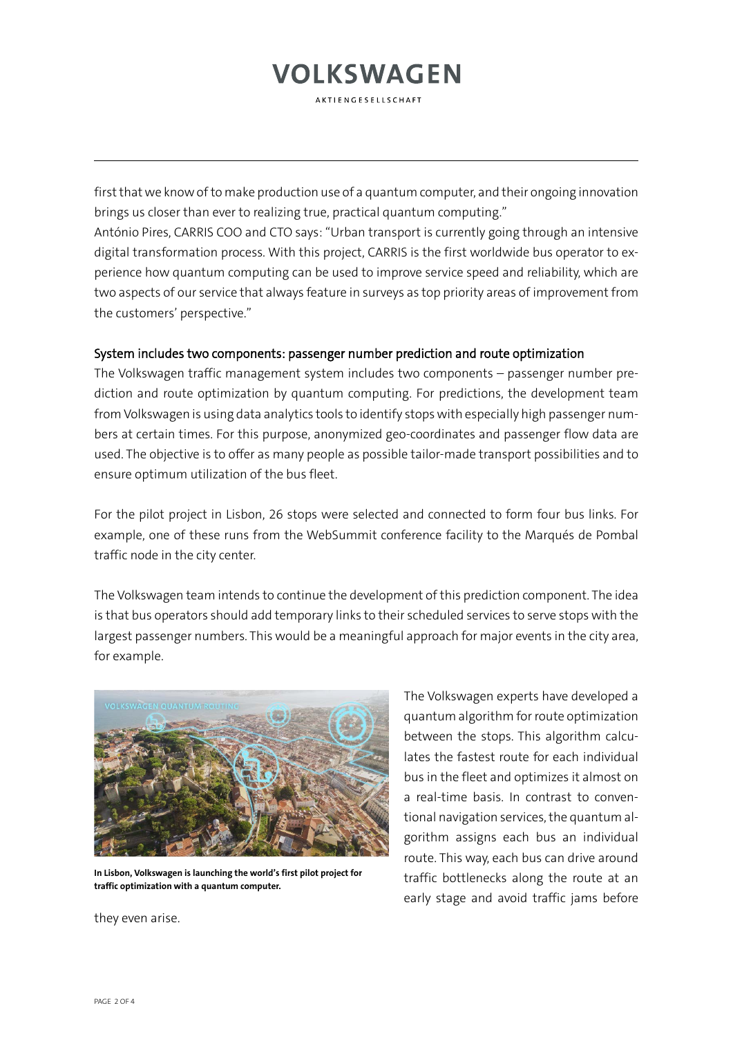**AKTIENGESELLSCHAFT** 

first that we know of to make production use of a quantum computer, and their ongoing innovation brings us closer than ever to realizing true, practical quantum computing."

António Pires, CARRIS COO and CTO says: "Urban transport is currently going through an intensive digital transformation process. With this project, CARRIS is the first worldwide bus operator to experience how quantum computing can be used to improve service speed and reliability, which are two aspects of our service that always feature in surveys as top priority areas of improvement from the customers' perspective."

### System includes two components: passenger number prediction and route optimization

The Volkswagen traffic management system includes two components – passenger number prediction and route optimization by quantum computing. For predictions, the development team from Volkswagen is using data analytics tools to identify stops with especially high passenger numbers at certain times. For this purpose, anonymized geo-coordinates and passenger flow data are used. The objective is to offer as many people as possible tailor-made transport possibilities and to ensure optimum utilization of the bus fleet.

For the pilot project in Lisbon, 26 stops were selected and connected to form four bus links. For example, one of these runs from the WebSummit conference facility to the Marqués de Pombal traffic node in the city center.

The Volkswagen team intends to continue the development of this prediction component. The idea is that bus operators should add temporary links to their scheduled services to serve stops with the largest passenger numbers. This would be a meaningful approach for major events in the city area, for example.



**In Lisbon, Volkswagen is launching the world's first pilot project for traffic optimization with a quantum computer.**

The Volkswagen experts have developed a quantum algorithm for route optimization between the stops. This algorithm calculates the fastest route for each individual bus in the fleet and optimizes it almost on a real-time basis. In contrast to conventional navigation services, the quantum algorithm assigns each bus an individual route. This way, each bus can drive around traffic bottlenecks along the route at an early stage and avoid traffic jams before

they even arise.

PAGE 2 OF 4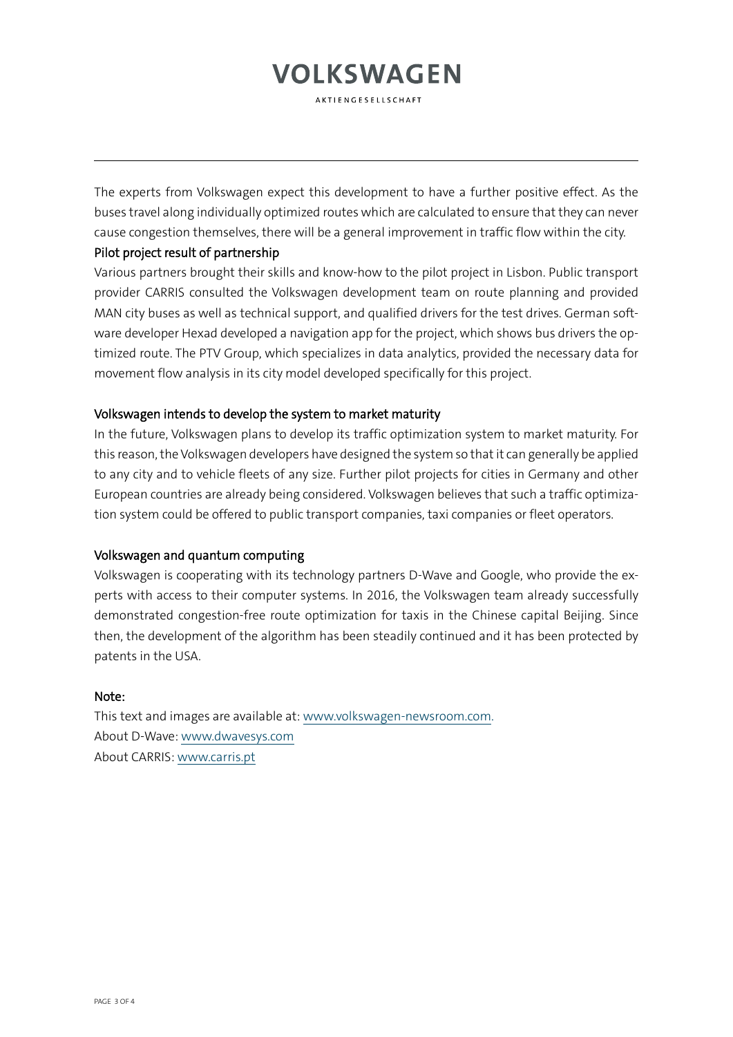**AKTIENGESELLSCHAFT** 

The experts from Volkswagen expect this development to have a further positive effect. As the buses travel along individually optimized routes which are calculated to ensure that they can never cause congestion themselves, there will be a general improvement in traffic flow within the city.

#### Pilot project result of partnership

Various partners brought their skills and know-how to the pilot project in Lisbon. Public transport provider CARRIS consulted the Volkswagen development team on route planning and provided MAN city buses as well as technical support, and qualified drivers for the test drives. German software developer Hexad developed a navigation app for the project, which shows bus drivers the optimized route. The PTV Group, which specializes in data analytics, provided the necessary data for movement flow analysis in its city model developed specifically for this project.

#### Volkswagen intends to develop the system to market maturity

In the future, Volkswagen plans to develop its traffic optimization system to market maturity. For this reason, the Volkswagen developers have designed the system so that it can generally be applied to any city and to vehicle fleets of any size. Further pilot projects for cities in Germany and other European countries are already being considered. Volkswagen believes that such a traffic optimization system could be offered to public transport companies, taxi companies or fleet operators.

#### Volkswagen and quantum computing

Volkswagen is cooperating with its technology partners D-Wave and Google, who provide the experts with access to their computer systems. In 2016, the Volkswagen team already successfully demonstrated congestion-free route optimization for taxis in the Chinese capital Beijing. Since then, the development of the algorithm has been steadily continued and it has been protected by patents in the USA.

#### Note:

This text and images are available at: [www.volkswagen-newsroom.com.](http://www.volkswagen-newsroom.com/) About D-Wave: [www.dwavesys.com](http://www.dwavesys.com/) About CARRIS: [www.carris.pt](http://www.carris.pt/)